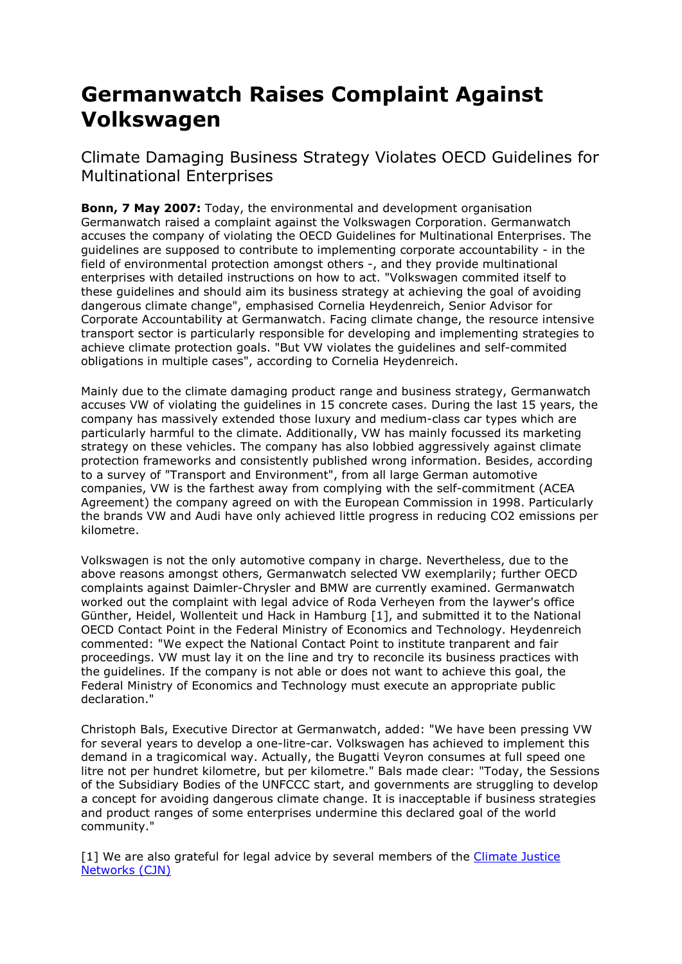## Germanwatch Raises Complaint Against Volkswagen

Climate Damaging Business Strategy Violates OECD Guidelines for Multinational Enterprises

Bonn, 7 May 2007: Today, the environmental and development organisation Germanwatch raised a complaint against the Volkswagen Corporation. Germanwatch accuses the company of violating the OECD Guidelines for Multinational Enterprises. The guidelines are supposed to contribute to implementing corporate accountability - in the field of environmental protection amongst others -, and they provide multinational enterprises with detailed instructions on how to act. "Volkswagen commited itself to these guidelines and should aim its business strategy at achieving the goal of avoiding dangerous climate change", emphasised Cornelia Heydenreich, Senior Advisor for Corporate Accountability at Germanwatch. Facing climate change, the resource intensive transport sector is particularly responsible for developing and implementing strategies to achieve climate protection goals. "But VW violates the guidelines and self-commited obligations in multiple cases", according to Cornelia Heydenreich.

Mainly due to the climate damaging product range and business strategy, Germanwatch accuses VW of violating the guidelines in 15 concrete cases. During the last 15 years, the company has massively extended those luxury and medium-class car types which are particularly harmful to the climate. Additionally, VW has mainly focussed its marketing strategy on these vehicles. The company has also lobbied aggressively against climate protection frameworks and consistently published wrong information. Besides, according to a survey of "Transport and Environment", from all large German automotive companies, VW is the farthest away from complying with the self-commitment (ACEA Agreement) the company agreed on with the European Commission in 1998. Particularly the brands VW and Audi have only achieved little progress in reducing CO2 emissions per kilometre.

Volkswagen is not the only automotive company in charge. Nevertheless, due to the above reasons amongst others, Germanwatch selected VW exemplarily; further OECD complaints against Daimler-Chrysler and BMW are currently examined. Germanwatch worked out the complaint with legal advice of Roda Verheyen from the laywer's office Günther, Heidel, Wollenteit und Hack in Hamburg [1], and submitted it to the National OECD Contact Point in the Federal Ministry of Economics and Technology. Heydenreich commented: "We expect the National Contact Point to institute tranparent and fair proceedings. VW must lay it on the line and try to reconcile its business practices with the guidelines. If the company is not able or does not want to achieve this goal, the Federal Ministry of Economics and Technology must execute an appropriate public declaration."

Christoph Bals, Executive Director at Germanwatch, added: "We have been pressing VW for several years to develop a one-litre-car. Volkswagen has achieved to implement this demand in a tragicomical way. Actually, the Bugatti Veyron consumes at full speed one litre not per hundret kilometre, but per kilometre." Bals made clear: "Today, the Sessions of the Subsidiary Bodies of the UNFCCC start, and governments are struggling to develop a concept for avoiding dangerous climate change. It is inacceptable if business strategies and product ranges of some enterprises undermine this declared goal of the world community."

[1] We are also grateful for legal advice by several members of the Climate Justice Networks (CJN)